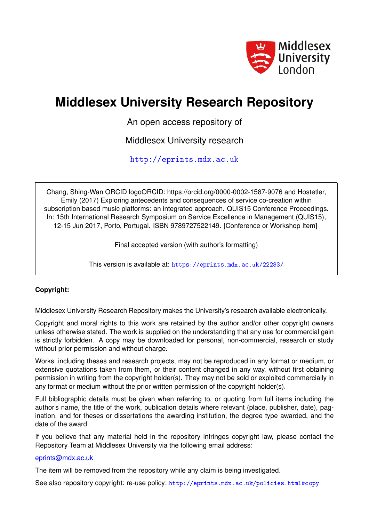

# **Middlesex University Research Repository**

An open access repository of

Middlesex University research

<http://eprints.mdx.ac.uk>

Chang, Shing-Wan ORCID logoORCID: https://orcid.org/0000-0002-1587-9076 and Hostetler, Emily (2017) Exploring antecedents and consequences of service co-creation within subscription based music platforms: an integrated approach. QUIS15 Conference Proceedings. In: 15th International Research Symposium on Service Excellence in Management (QUIS15), 12-15 Jun 2017, Porto, Portugal. ISBN 9789727522149. [Conference or Workshop Item]

Final accepted version (with author's formatting)

This version is available at: <https://eprints.mdx.ac.uk/22283/>

## **Copyright:**

Middlesex University Research Repository makes the University's research available electronically.

Copyright and moral rights to this work are retained by the author and/or other copyright owners unless otherwise stated. The work is supplied on the understanding that any use for commercial gain is strictly forbidden. A copy may be downloaded for personal, non-commercial, research or study without prior permission and without charge.

Works, including theses and research projects, may not be reproduced in any format or medium, or extensive quotations taken from them, or their content changed in any way, without first obtaining permission in writing from the copyright holder(s). They may not be sold or exploited commercially in any format or medium without the prior written permission of the copyright holder(s).

Full bibliographic details must be given when referring to, or quoting from full items including the author's name, the title of the work, publication details where relevant (place, publisher, date), pagination, and for theses or dissertations the awarding institution, the degree type awarded, and the date of the award.

If you believe that any material held in the repository infringes copyright law, please contact the Repository Team at Middlesex University via the following email address:

### [eprints@mdx.ac.uk](mailto:eprints@mdx.ac.uk)

The item will be removed from the repository while any claim is being investigated.

See also repository copyright: re-use policy: <http://eprints.mdx.ac.uk/policies.html#copy>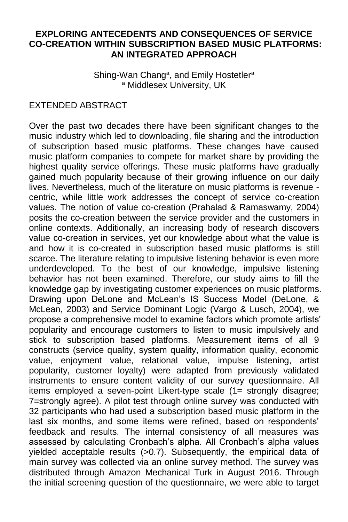#### **EXPLORING ANTECEDENTS AND CONSEQUENCES OF SERVICE CO-CREATION WITHIN SUBSCRIPTION BASED MUSIC PLATFORMS: AN INTEGRATED APPROACH**

Shing-Wan Chang<sup>a</sup>, and Emily Hostetler<sup>a</sup> <sup>a</sup> Middlesex University, UK

#### EXTENDED ABSTRACT

Over the past two decades there have been significant changes to the music industry which led to downloading, file sharing and the introduction of subscription based music platforms. These changes have caused music platform companies to compete for market share by providing the highest quality service offerings. These music platforms have gradually gained much popularity because of their growing influence on our daily lives. Nevertheless, much of the literature on music platforms is revenue centric, while little work addresses the concept of service co-creation values. The notion of value co-creation (Prahalad & Ramaswamy, 2004) posits the co-creation between the service provider and the customers in online contexts. Additionally, an increasing body of research discovers value co-creation in services, yet our knowledge about what the value is and how it is co-created in subscription based music platforms is still scarce. The literature relating to impulsive listening behavior is even more underdeveloped. To the best of our knowledge, impulsive listening behavior has not been examined. Therefore, our study aims to fill the knowledge gap by investigating customer experiences on music platforms. Drawing upon DeLone and McLean's IS Success Model (DeLone, & McLean, 2003) and Service Dominant Logic (Vargo & Lusch, 2004), we propose a comprehensive model to examine factors which promote artists' popularity and encourage customers to listen to music impulsively and stick to subscription based platforms. Measurement items of all 9 constructs (service quality, system quality, information quality, economic value, enjoyment value, relational value, impulse listening, artist popularity, customer loyalty) were adapted from previously validated instruments to ensure content validity of our survey questionnaire. All items employed a seven-point Likert-type scale (1= strongly disagree; 7=strongly agree). A pilot test through online survey was conducted with 32 participants who had used a subscription based music platform in the last six months, and some items were refined, based on respondents' feedback and results. The internal consistency of all measures was assessed by calculating Cronbach's alpha. All Cronbach's alpha values yielded acceptable results (>0.7). Subsequently, the empirical data of main survey was collected via an online survey method. The survey was distributed through Amazon Mechanical Turk in August 2016. Through the initial screening question of the questionnaire, we were able to target